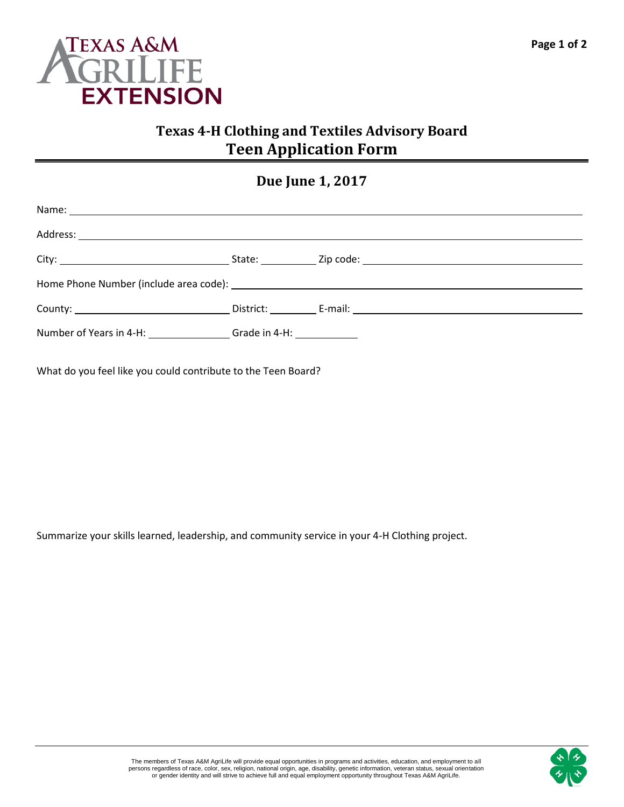

## **Texas 4-H Clothing and Textiles Advisory Board Teen Application Form**

## **Due June 1, 2017**

|                                                                                  |  | County: County: County: County: County: County: County: County: County: County: County: County: County: County: County: County: County: County: County: County: County: County: County: County: County: County: County: County |
|----------------------------------------------------------------------------------|--|--------------------------------------------------------------------------------------------------------------------------------------------------------------------------------------------------------------------------------|
| Number of Years in 4-H: _________________Grade in 4-H: _________________________ |  |                                                                                                                                                                                                                                |

What do you feel like you could contribute to the Teen Board?

Summarize your skills learned, leadership, and community service in your 4-H Clothing project.